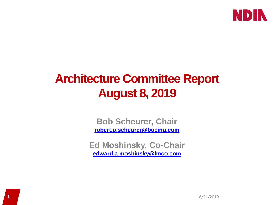

### **Architecture Committee Report August 8, 2019**

**Bob Scheurer, Chair [robert.p.scheurer@boeing.com](mailto:robert.p.scheurer@boeing.com)**

**Ed Moshinsky, Co-Chair [edward.a.moshinsky@lmco.com](mailto:edward.a.moshinsky@lmco.com)**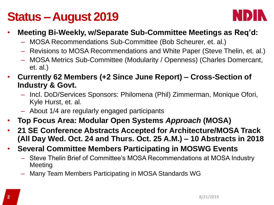#### **Status –August 2019**



- **Meeting Bi-Weekly, w/Separate Sub-Committee Meetings as Req'd:**
	- MOSA Recommendations Sub-Committee (Bob Scheurer, et. al.)
	- Revisions to MOSA Recommendations and White Paper (Steve Thelin, et. al.)
	- MOSA Metrics Sub-Committee (Modularity / Openness) (Charles Domercant, et. al.)
- **Currently 62 Members (+2 Since June Report) – Cross-Section of Industry & Govt.**
	- Incl. DoD/Services Sponsors: Philomena (Phil) Zimmerman, Monique Ofori, Kyle Hurst, et. al.
	- About 1/4 are regularly engaged participants
- **Top Focus Area: Modular Open Systems** *Approach* **(MOSA)**
- **21 SE Conference Abstracts Accepted for Architecture/MOSA Track (All Day Wed. Oct. 24 and Thurs. Oct. 25 A.M.) – 10 Abstracts in 2018**
- **Several Committee Members Participating in MOSWG Events**
	- Steve Thelin Brief of Committee's MOSA Recommendations at MOSA Industry Meeting
	- Many Team Members Participating in MOSA Standards WG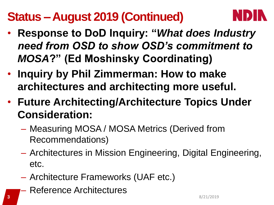## **Status –August 2019 (Continued)**



- **Response to DoD Inquiry: "***What does Industry need from OSD to show OSD's commitment to MOSA***?" (Ed Moshinsky Coordinating)**
- **Inquiry by Phil Zimmerman: How to make architectures and architecting more useful.**
- **Future Architecting/Architecture Topics Under Consideration:**
	- Measuring MOSA / MOSA Metrics (Derived from Recommendations)
	- Architectures in Mission Engineering, Digital Engineering, etc.
	- Architecture Frameworks (UAF etc.)
- Reference Architectures **3** 8/21/2019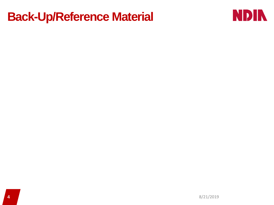#### **Back-Up/Reference Material**

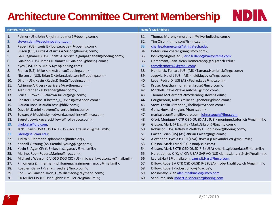# **Architecture Committee Current Membership**

| <b>Name/E-Mail Address</b> |                                                                                                           | <b>Name/E-Mail Address</b> |                                                                                                         |
|----------------------------|-----------------------------------------------------------------------------------------------------------|----------------------------|---------------------------------------------------------------------------------------------------------|
| 1.                         | Palmer (US), John R <john.r.palmer2@boeing.com>;</john.r.palmer2@boeing.com>                              | 31.                        | Thomas Murphy <murphyth@silverbulletinc.com>;</murphyth@silverbulletinc.com>                            |
| 2.                         | steven.dam@specinnovations.com;                                                                           | 32.                        | Tim Olson <tim.olson@lsi-inc.com>;</tim.olson@lsi-inc.com>                                              |
| 3.                         | Pape-II (US), Louis E < louis.e.pape-ii@boeing.com>;                                                      | 33.                        | charles.domercant@gtri.gatech.edu;                                                                      |
| 4.                         | Sisson (US), Curtis A <curtis.a.sisson@boeing.com>;</curtis.a.sisson@boeing.com>                          | 34.                        | Peter Grim <peter.grim@imco.com>;</peter.grim@imco.com>                                                 |
| 5.                         | Gau Pagnanelli (US), Christi A <christi.a.gaupagnanelli@boeing.com>;</christi.a.gaupagnanelli@boeing.com> | 35.                        | kvv5cf@virginia.edu; eric.b.dano@baesystems.com;                                                        |
| 6.                         | Gualdoni (US), James D < James.D.Gualdoni@boeing.com>;                                                    | 36.                        | Domercant, Jean <jean.domercant@gtri.gatech.edu>;</jean.domercant@gtri.gatech.edu>                      |
| 7.                         | Kyes (US), Kelly <kelly.kyes@boeing.com>;</kelly.kyes@boeing.com>                                         | 37.                        | tamcdermott42@gmail.com;                                                                                |
| 8.                         | Franco (US), Mike <mike.franco@boeing.com>;</mike.franco@boeing.com>                                      | 38.                        | Hambrick, Tamara [US] (MS <tamara.hambrick@ngc.com>;</tamara.hambrick@ngc.com>                          |
| 9.                         | Nielsen-Jr (US), Brian D<br><br>brian.d.nielsen-jr@boeing.com>;                                           | 39.                        | Jugovic, Heidi J [US] (MS <heidi.jugovic@ngc.com>;</heidi.jugovic@ngc.com>                              |
| 10.                        | Dillon (US), Kevin <kevin.dillon2@boeing.com>;</kevin.dillon2@boeing.com>                                 | 40.                        | Lepe, Pedro D [US] (AS <pedro.lepe@ngc.com>;</pedro.lepe@ngc.com>                                       |
| 11.                        | Adrienne A Rivera <aarivera@raytheon.com>;</aarivera@raytheon.com>                                        | 41.                        | Kruse, Jonathan <jonathan.kruse@lmco.com>;</jonathan.kruse@lmco.com>                                    |
| 12.                        | Alan Brenner <al.brenner@bbi2.com>;</al.brenner@bbi2.com>                                                 | 42.                        | Mitchell, Steve <steve.mitchell@imco.com>;</steve.mitchell@imco.com>                                    |
| 13.                        | Bruce J Brown (IS <brown.bruce@ngc.com>;</brown.bruce@ngc.com>                                            | 43.                        | Thomas McDermott <tmcdermo@stevens.edu>;</tmcdermo@stevens.edu>                                         |
| 14.                        | Chester L Levins <chester_l_levins@raytheon.com>;</chester_l_levins@raytheon.com>                         | 44.                        | Coughenour, Mike <mike.coughenour@imco.com>;</mike.coughenour@imco.com>                                 |
| 15.                        | Claudia Rose <claudia.rose@bbi2.com>;</claudia.rose@bbi2.com>                                             | 45.                        | Steve Thelin <stephen_thelin@raytheon.com>;</stephen_thelin@raytheon.com>                               |
| 16.                        | Dave McDaniel <davem@silverbulletinc.com>;</davem@silverbulletinc.com>                                    | 46.                        | Gans, Howard <hgans@harris.com>;</hgans@harris.com>                                                     |
| 17.                        | Edward A Moshinsky <edward.a.moshinsky@lmco.com>;</edward.a.moshinsky@lmco.com>                           | 47.                        | mark.gibson@engilitycorp.com; john.stough@jhna.com;                                                     |
| 18.                        | Everett Lewis <everett.t.lewis@rolls-royce.com>;</everett.t.lewis@rolls-royce.com>                        | 48.                        | Ofori, Monique F CTR OSD OUSD ATL (US) <monique.f.ofori.ctr@mail.mil>;</monique.f.ofori.ctr@mail.mil>   |
| 19.                        | gkukkala@drc.com;                                                                                         | 49.                        | Gibson, Mark @ Engility <mark.gibson@engility.com>;</mark.gibson@engility.com>                          |
| 20.                        | Jack E Zavin OSD OUSD ATL (US <jack.e.zavin.civ@mail.mil>;</jack.e.zavin.civ@mail.mil>                    | 50.                        | Robinson (US), Jeffrey D <jeffrey.d.robinson2@boeing.com>;</jeffrey.d.robinson2@boeing.com>             |
| 21.                        | jklein@sei.cmu.edu;                                                                                       | 51.                        | Carter, Brian [US] (AS) <brian.carter@ngc.com>;</brian.carter@ngc.com>                                  |
| 22.                        | Judith S. Dahmann <jdahmann@mitre.org>;</jdahmann@mitre.org>                                              | 52.                        | Alexander, Tyesia P CTR (USA) <tyesia.p.alexander.ctr@mail.mil>;</tyesia.p.alexander.ctr@mail.mil>      |
| 23.                        | Kendall G Young (AS <kendall.young@ngc.com>;</kendall.young@ngc.com>                                      | 53.                        | Gibson, Mark <mark.s.gibson@saic.com>;</mark.s.gibson@saic.com>                                         |
| 24.                        | Kevin S. Agan CIV (US <kevin.s.agan.civ@mail.mil>;</kevin.s.agan.civ@mail.mil>                            | 54.                        | Gibson, Mark S CTR OSD OUSD R-E (USA) <mark.s.gibson6.ctr@mail.mil>;</mark.s.gibson6.ctr@mail.mil>      |
| 25.                        | Marino, Rob <robert.marino@ngc.com>;</robert.marino@ngc.com>                                              | 55.                        | Hurst, James K (Kyle) CIV USAF SAF-AQ (US) <james.k.hurst9.civ@mail.mil>;</james.k.hurst9.civ@mail.mil> |
| 26.                        | Michael L Wayson CIV OSD DOD CIO (US <michael.l.wayson.civ@mail.mil>;</michael.l.wayson.civ@mail.mil>     | 56.                        | LauraEHart1@gmail.com; Laura.E.Hart@Imco.com;                                                           |
| 27.                        | Philomena Zimmerman <philomena.m.zimmerman.civ@mail.mil>;</philomena.m.zimmerman.civ@mail.mil>            | 57.                        | Dillow, Robert A CTR OSD OUSD R-E (USA) <robert.a.dillow.ctr@mail.mil>;</robert.a.dillow.ctr@mail.mil>  |
| 28.                        | Roedler, Garry J <garry.j.roedler@imco.com>;</garry.j.roedler@imco.com>                                   | 58.                        | Dillow, Robert <robert.dillow@dac.us>;</robert.dillow@dac.us>                                           |
| 29.                        | Ron C Williamson <ron c="" williamson@raytheon.com="">;</ron>                                             | 59.                        | Moshinsky, Alan alan.moshinsky@lmco.com                                                                 |
| 30.                        | S R Muller CIV (US < shaughnn.r.muller.civ@mail.mil>;                                                     | 60.                        | Scheurer, Bob Robert.p.scheurer@boeing.com                                                              |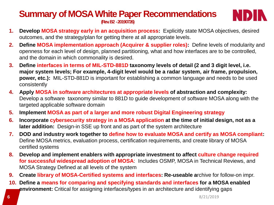#### **Summary of MOSA White Paper Recommendations (Rev. B2 -20190726)**



- **1. Develop MOSA strategy early in an acquisition process:** Explicitly state MOSA objectives, desired outcomes, and the strategy/plan for getting there at all appropriate levels.
- **2. Define MOSA implementation approach (Acquirer & supplier roles):** Define levels of modularity and openness for each level of design, planned partitioning, what and how interfaces are to be controlled, and the domain in which commonality is desired.
- **3. Define interfaces in terms of MIL-STD-881D taxonomy levels of detail (2 and 3 digit level, i.e. major system levels; For example, 4-digit level would be a radar system, air frame, propulsion, power, etc.):** MIL-STD-881D is important for establishing a common language and needs to be used consistently
- **4. Apply MOSA in software architectures at appropriate levels of abstraction and complexity:**  Develop a software taxonomy similar to 881D to guide development of software MOSA along with the targeted applicable software domain
- **5. Implement MOSA as part of a larger and more robust Digital Engineering strategy**
- **6. Incorporate cybersecurity strategy in a MOSA application at the time of initial design, not as a later addition:** Design-in SSE up front and as part of the system architecture
- **7. DOD and industry work together to define how to evaluate MOSA and certify as MOSA compliant:**  Define MOSA metrics, evaluation process, certification requirements, and create library of MOSA certified systems
- **8. Develop and implement enablers with appropriate investment to affect culture change required for successful widespread adoption of MOSA**: Includes OSMP, MOSA in Technical Reviews, and MOSA Strategy Defined at all levels of the system
- **9. Create library of MOSA-Certified systems and interfaces: Re-useable a**rchive for follow-on impr.
- **10. Define a means for comparing and specifying standards and interfaces for a MOSA enabled environment:** Critical for assigning interfaces/types in an architecture and identifying gaps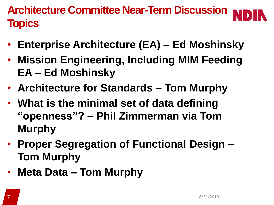**Architecture Committee Near-Term Discussion Topics**

- **Enterprise Architecture (EA) – Ed Moshinsky**
- **Mission Engineering, Including MIM Feeding EA – Ed Moshinsky**
- **Architecture for Standards – Tom Murphy**
- **What is the minimal set of data defining "openness"? – Phil Zimmerman via Tom Murphy**
- **Proper Segregation of Functional Design – Tom Murphy**
- **Meta Data – Tom Murphy**